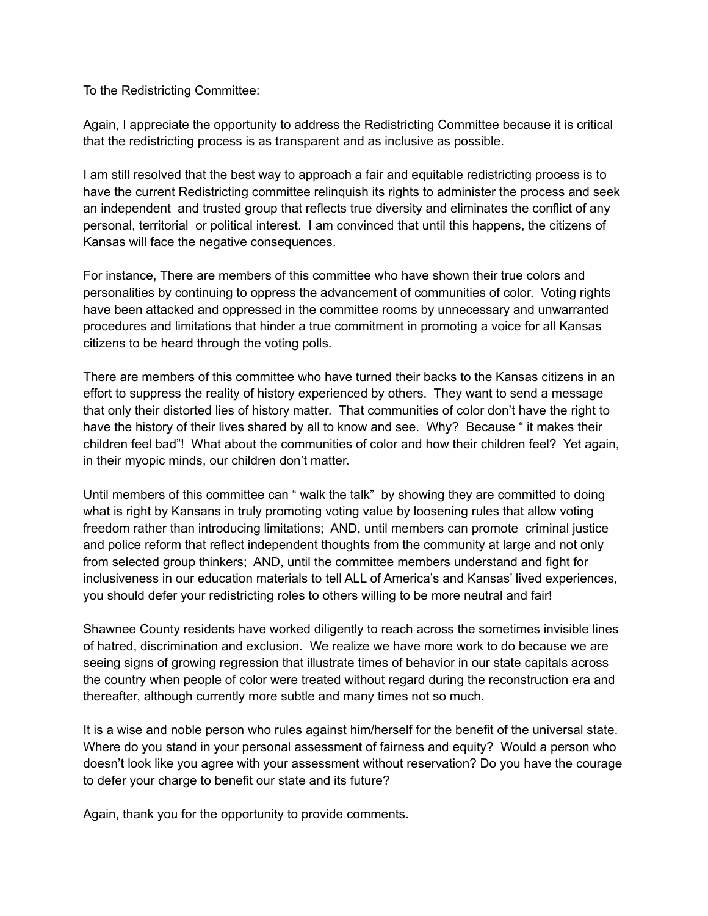To the Redistricting Committee:

Again, I appreciate the opportunity to address the Redistricting Committee because it is critical that the redistricting process is as transparent and as inclusive as possible.

I am still resolved that the best way to approach a fair and equitable redistricting process is to have the current Redistricting committee relinquish its rights to administer the process and seek an independent and trusted group that reflects true diversity and eliminates the conflict of any personal, territorial or political interest. I am convinced that until this happens, the citizens of Kansas will face the negative consequences.

For instance, There are members of this committee who have shown their true colors and personalities by continuing to oppress the advancement of communities of color. Voting rights have been attacked and oppressed in the committee rooms by unnecessary and unwarranted procedures and limitations that hinder a true commitment in promoting a voice for all Kansas citizens to be heard through the voting polls.

There are members of this committee who have turned their backs to the Kansas citizens in an effort to suppress the reality of history experienced by others. They want to send a message that only their distorted lies of history matter. That communities of color don't have the right to have the history of their lives shared by all to know and see. Why? Because " it makes their children feel bad"! What about the communities of color and how their children feel? Yet again, in their myopic minds, our children don't matter.

Until members of this committee can " walk the talk" by showing they are committed to doing what is right by Kansans in truly promoting voting value by loosening rules that allow voting freedom rather than introducing limitations; AND, until members can promote criminal justice and police reform that reflect independent thoughts from the community at large and not only from selected group thinkers; AND, until the committee members understand and fight for inclusiveness in our education materials to tell ALL of America's and Kansas' lived experiences, you should defer your redistricting roles to others willing to be more neutral and fair!

Shawnee County residents have worked diligently to reach across the sometimes invisible lines of hatred, discrimination and exclusion. We realize we have more work to do because we are seeing signs of growing regression that illustrate times of behavior in our state capitals across the country when people of color were treated without regard during the reconstruction era and thereafter, although currently more subtle and many times not so much.

It is a wise and noble person who rules against him/herself for the benefit of the universal state. Where do you stand in your personal assessment of fairness and equity? Would a person who doesn't look like you agree with your assessment without reservation? Do you have the courage to defer your charge to benefit our state and its future?

Again, thank you for the opportunity to provide comments.